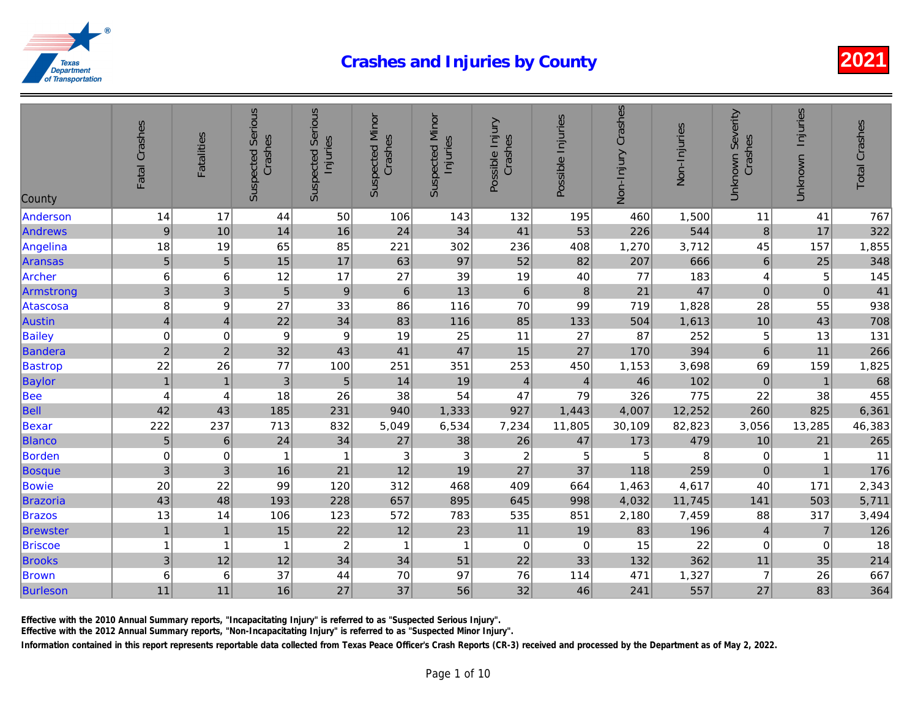| 14<br>17<br>1,500<br>44<br>50<br>106<br>143<br>132<br>195<br>460<br>544<br>$\boldsymbol{9}$<br>41<br>10<br>14<br>16<br>24<br>34<br>53<br>226<br>18<br>85<br>19<br>65<br>221<br>302<br>236<br>408<br>1,270<br>3,712<br>5<br>17<br>666<br>$\overline{5}$<br>15<br>97<br>52<br>82<br>207<br>63<br>6<br>17<br>27<br>19<br>183<br>6<br>12<br>39<br>40<br>77<br>Archer<br>3<br>47<br>$\mathfrak{3}$<br>$\sqrt{5}$<br>$\boldsymbol{9}$<br>$\,6$<br>13<br>$6\phantom{1}6$<br>21<br>$\, 8$<br>8<br>27<br>33<br>86<br>116<br>70<br>99<br>719<br>1,828<br>9<br>Atascosa<br>$\overline{\mathbf{4}}$<br>22<br>34<br>85<br>83<br>116<br>1,613<br>$\overline{\mathbf{4}}$<br>133<br>504<br><b>Bailey</b><br>$\mathbf 0$<br>9<br>$\boldsymbol{9}$<br>11<br>87<br>252<br>$\mathbf 0$<br>19<br>25<br>27<br>$\overline{c}$<br>47<br>$\sqrt{2}$<br>32<br>43<br>41<br>15<br>27<br>394<br>170<br>22<br>26<br>253<br>77<br>100<br>450<br>3,698<br><b>Bastrop</b><br>251<br>351<br>1,153<br>$\mathbf{1}$<br>46<br>102<br>$\sqrt{5}$<br>$\mathbf{1}$<br>$\sqrt{3}$<br>19<br><b>Baylor</b><br>14<br>$\overline{4}$<br>$\overline{4}$<br><b>Bee</b><br>26<br>47<br>326<br>775<br>4<br>18<br>38<br>54<br>79<br>4<br>Bell<br>1,443<br>12,252<br>42<br>43<br>185<br>231<br>927<br>4,007<br>940<br>1,333<br>222<br>82,823<br>832<br>6,534<br>11,805<br>Bexar<br>237<br>713<br>5,049<br>7,234<br>30,109<br>5<br>34<br>479<br>27<br>38<br>26<br>47<br>$\,6\,$<br>24<br>173<br><b>Blanco</b><br>$\pmb{0}$<br>8<br>Borden<br>$\sqrt{3}$<br>$\ensuremath{\mathsf{3}}$<br>$\overline{c}$<br>0<br>$\mathbf{1}$<br>5<br>5<br>1<br>3<br>12<br>$\mathfrak{3}$<br>21<br>19<br>27<br>37<br>118<br>16<br>259<br><b>Bosque</b><br>20<br>22<br>4,617<br><b>Bowie</b><br>99<br>120<br>312<br>468<br>409<br>664<br>1,463<br>48<br>43<br>895<br>11,745<br>193<br>228<br>657<br>645<br>998<br>4,032<br>13<br>14<br>123<br>572<br>783<br>535<br>851<br>2,180<br>7,459<br>106<br>$\overline{1}$<br>15<br>22<br>12<br>11<br><b>Brewster</b><br>$\overline{1}$<br>23<br>196<br>19<br>83<br>22<br><b>Briscoe</b><br>$\boldsymbol{2}$<br>$\mathbf{1}$<br>$\mathbf 0$<br>$\mathbf 0$<br>15<br>$\overline{1}$<br>$\overline{1}$<br>$\mathbf 1$<br>$\mathbf{1}$<br>3<br>34<br>362<br>12<br>12<br>34<br>51<br>22<br>33<br>132<br><b>Brooks</b><br>6<br>37<br>70<br>97<br>76<br>1,327<br><b>Brown</b><br>6<br>44<br>114<br>471<br>11<br>27<br>37<br>56<br>32<br>557<br>11<br>16<br>46<br>241 | County   | Fatal Crashes | <b>Fatalities</b> | <b>Suspected Serious</b><br>Crashes | <b>Suspected Serious</b><br>Injuries | <b>Suspected Minor</b><br>Crashes | <b>Suspected Minor</b><br>Injuries | Possible Injury<br>Crashes | Possible Injuries | Non-Injury Crashes | Non-Injuries |
|---------------------------------------------------------------------------------------------------------------------------------------------------------------------------------------------------------------------------------------------------------------------------------------------------------------------------------------------------------------------------------------------------------------------------------------------------------------------------------------------------------------------------------------------------------------------------------------------------------------------------------------------------------------------------------------------------------------------------------------------------------------------------------------------------------------------------------------------------------------------------------------------------------------------------------------------------------------------------------------------------------------------------------------------------------------------------------------------------------------------------------------------------------------------------------------------------------------------------------------------------------------------------------------------------------------------------------------------------------------------------------------------------------------------------------------------------------------------------------------------------------------------------------------------------------------------------------------------------------------------------------------------------------------------------------------------------------------------------------------------------------------------------------------------------------------------------------------------------------------------------------------------------------------------------------------------------------------------------------------------------------------------------------------------------------------------------------------------------------------------------------------------------------------------------------------------------------------------------------------------------------------------------------------------------------------------------------------------------------------------------------------------------------------------------------|----------|---------------|-------------------|-------------------------------------|--------------------------------------|-----------------------------------|------------------------------------|----------------------------|-------------------|--------------------|--------------|
| Andrews<br>Angelina<br>Aransas<br>Armstrong<br>Austin<br>Bandera<br><b>Brazoria</b><br><b>Brazos</b><br>Burleson                                                                                                                                                                                                                                                                                                                                                                                                                                                                                                                                                                                                                                                                                                                                                                                                                                                                                                                                                                                                                                                                                                                                                                                                                                                                                                                                                                                                                                                                                                                                                                                                                                                                                                                                                                                                                                                                                                                                                                                                                                                                                                                                                                                                                                                                                                                | Anderson |               |                   |                                     |                                      |                                   |                                    |                            |                   |                    |              |
|                                                                                                                                                                                                                                                                                                                                                                                                                                                                                                                                                                                                                                                                                                                                                                                                                                                                                                                                                                                                                                                                                                                                                                                                                                                                                                                                                                                                                                                                                                                                                                                                                                                                                                                                                                                                                                                                                                                                                                                                                                                                                                                                                                                                                                                                                                                                                                                                                                 |          |               |                   |                                     |                                      |                                   |                                    |                            |                   |                    |              |
|                                                                                                                                                                                                                                                                                                                                                                                                                                                                                                                                                                                                                                                                                                                                                                                                                                                                                                                                                                                                                                                                                                                                                                                                                                                                                                                                                                                                                                                                                                                                                                                                                                                                                                                                                                                                                                                                                                                                                                                                                                                                                                                                                                                                                                                                                                                                                                                                                                 |          |               |                   |                                     |                                      |                                   |                                    |                            |                   |                    |              |
|                                                                                                                                                                                                                                                                                                                                                                                                                                                                                                                                                                                                                                                                                                                                                                                                                                                                                                                                                                                                                                                                                                                                                                                                                                                                                                                                                                                                                                                                                                                                                                                                                                                                                                                                                                                                                                                                                                                                                                                                                                                                                                                                                                                                                                                                                                                                                                                                                                 |          |               |                   |                                     |                                      |                                   |                                    |                            |                   |                    |              |
|                                                                                                                                                                                                                                                                                                                                                                                                                                                                                                                                                                                                                                                                                                                                                                                                                                                                                                                                                                                                                                                                                                                                                                                                                                                                                                                                                                                                                                                                                                                                                                                                                                                                                                                                                                                                                                                                                                                                                                                                                                                                                                                                                                                                                                                                                                                                                                                                                                 |          |               |                   |                                     |                                      |                                   |                                    |                            |                   |                    |              |
|                                                                                                                                                                                                                                                                                                                                                                                                                                                                                                                                                                                                                                                                                                                                                                                                                                                                                                                                                                                                                                                                                                                                                                                                                                                                                                                                                                                                                                                                                                                                                                                                                                                                                                                                                                                                                                                                                                                                                                                                                                                                                                                                                                                                                                                                                                                                                                                                                                 |          |               |                   |                                     |                                      |                                   |                                    |                            |                   |                    |              |
|                                                                                                                                                                                                                                                                                                                                                                                                                                                                                                                                                                                                                                                                                                                                                                                                                                                                                                                                                                                                                                                                                                                                                                                                                                                                                                                                                                                                                                                                                                                                                                                                                                                                                                                                                                                                                                                                                                                                                                                                                                                                                                                                                                                                                                                                                                                                                                                                                                 |          |               |                   |                                     |                                      |                                   |                                    |                            |                   |                    |              |
|                                                                                                                                                                                                                                                                                                                                                                                                                                                                                                                                                                                                                                                                                                                                                                                                                                                                                                                                                                                                                                                                                                                                                                                                                                                                                                                                                                                                                                                                                                                                                                                                                                                                                                                                                                                                                                                                                                                                                                                                                                                                                                                                                                                                                                                                                                                                                                                                                                 |          |               |                   |                                     |                                      |                                   |                                    |                            |                   |                    |              |
|                                                                                                                                                                                                                                                                                                                                                                                                                                                                                                                                                                                                                                                                                                                                                                                                                                                                                                                                                                                                                                                                                                                                                                                                                                                                                                                                                                                                                                                                                                                                                                                                                                                                                                                                                                                                                                                                                                                                                                                                                                                                                                                                                                                                                                                                                                                                                                                                                                 |          |               |                   |                                     |                                      |                                   |                                    |                            |                   |                    |              |
|                                                                                                                                                                                                                                                                                                                                                                                                                                                                                                                                                                                                                                                                                                                                                                                                                                                                                                                                                                                                                                                                                                                                                                                                                                                                                                                                                                                                                                                                                                                                                                                                                                                                                                                                                                                                                                                                                                                                                                                                                                                                                                                                                                                                                                                                                                                                                                                                                                 |          |               |                   |                                     |                                      |                                   |                                    |                            |                   |                    |              |
|                                                                                                                                                                                                                                                                                                                                                                                                                                                                                                                                                                                                                                                                                                                                                                                                                                                                                                                                                                                                                                                                                                                                                                                                                                                                                                                                                                                                                                                                                                                                                                                                                                                                                                                                                                                                                                                                                                                                                                                                                                                                                                                                                                                                                                                                                                                                                                                                                                 |          |               |                   |                                     |                                      |                                   |                                    |                            |                   |                    |              |
|                                                                                                                                                                                                                                                                                                                                                                                                                                                                                                                                                                                                                                                                                                                                                                                                                                                                                                                                                                                                                                                                                                                                                                                                                                                                                                                                                                                                                                                                                                                                                                                                                                                                                                                                                                                                                                                                                                                                                                                                                                                                                                                                                                                                                                                                                                                                                                                                                                 |          |               |                   |                                     |                                      |                                   |                                    |                            |                   |                    |              |
|                                                                                                                                                                                                                                                                                                                                                                                                                                                                                                                                                                                                                                                                                                                                                                                                                                                                                                                                                                                                                                                                                                                                                                                                                                                                                                                                                                                                                                                                                                                                                                                                                                                                                                                                                                                                                                                                                                                                                                                                                                                                                                                                                                                                                                                                                                                                                                                                                                 |          |               |                   |                                     |                                      |                                   |                                    |                            |                   |                    |              |
|                                                                                                                                                                                                                                                                                                                                                                                                                                                                                                                                                                                                                                                                                                                                                                                                                                                                                                                                                                                                                                                                                                                                                                                                                                                                                                                                                                                                                                                                                                                                                                                                                                                                                                                                                                                                                                                                                                                                                                                                                                                                                                                                                                                                                                                                                                                                                                                                                                 |          |               |                   |                                     |                                      |                                   |                                    |                            |                   |                    |              |
|                                                                                                                                                                                                                                                                                                                                                                                                                                                                                                                                                                                                                                                                                                                                                                                                                                                                                                                                                                                                                                                                                                                                                                                                                                                                                                                                                                                                                                                                                                                                                                                                                                                                                                                                                                                                                                                                                                                                                                                                                                                                                                                                                                                                                                                                                                                                                                                                                                 |          |               |                   |                                     |                                      |                                   |                                    |                            |                   |                    |              |
|                                                                                                                                                                                                                                                                                                                                                                                                                                                                                                                                                                                                                                                                                                                                                                                                                                                                                                                                                                                                                                                                                                                                                                                                                                                                                                                                                                                                                                                                                                                                                                                                                                                                                                                                                                                                                                                                                                                                                                                                                                                                                                                                                                                                                                                                                                                                                                                                                                 |          |               |                   |                                     |                                      |                                   |                                    |                            |                   |                    |              |
|                                                                                                                                                                                                                                                                                                                                                                                                                                                                                                                                                                                                                                                                                                                                                                                                                                                                                                                                                                                                                                                                                                                                                                                                                                                                                                                                                                                                                                                                                                                                                                                                                                                                                                                                                                                                                                                                                                                                                                                                                                                                                                                                                                                                                                                                                                                                                                                                                                 |          |               |                   |                                     |                                      |                                   |                                    |                            |                   |                    |              |
|                                                                                                                                                                                                                                                                                                                                                                                                                                                                                                                                                                                                                                                                                                                                                                                                                                                                                                                                                                                                                                                                                                                                                                                                                                                                                                                                                                                                                                                                                                                                                                                                                                                                                                                                                                                                                                                                                                                                                                                                                                                                                                                                                                                                                                                                                                                                                                                                                                 |          |               |                   |                                     |                                      |                                   |                                    |                            |                   |                    |              |
|                                                                                                                                                                                                                                                                                                                                                                                                                                                                                                                                                                                                                                                                                                                                                                                                                                                                                                                                                                                                                                                                                                                                                                                                                                                                                                                                                                                                                                                                                                                                                                                                                                                                                                                                                                                                                                                                                                                                                                                                                                                                                                                                                                                                                                                                                                                                                                                                                                 |          |               |                   |                                     |                                      |                                   |                                    |                            |                   |                    |              |
|                                                                                                                                                                                                                                                                                                                                                                                                                                                                                                                                                                                                                                                                                                                                                                                                                                                                                                                                                                                                                                                                                                                                                                                                                                                                                                                                                                                                                                                                                                                                                                                                                                                                                                                                                                                                                                                                                                                                                                                                                                                                                                                                                                                                                                                                                                                                                                                                                                 |          |               |                   |                                     |                                      |                                   |                                    |                            |                   |                    |              |
|                                                                                                                                                                                                                                                                                                                                                                                                                                                                                                                                                                                                                                                                                                                                                                                                                                                                                                                                                                                                                                                                                                                                                                                                                                                                                                                                                                                                                                                                                                                                                                                                                                                                                                                                                                                                                                                                                                                                                                                                                                                                                                                                                                                                                                                                                                                                                                                                                                 |          |               |                   |                                     |                                      |                                   |                                    |                            |                   |                    |              |
|                                                                                                                                                                                                                                                                                                                                                                                                                                                                                                                                                                                                                                                                                                                                                                                                                                                                                                                                                                                                                                                                                                                                                                                                                                                                                                                                                                                                                                                                                                                                                                                                                                                                                                                                                                                                                                                                                                                                                                                                                                                                                                                                                                                                                                                                                                                                                                                                                                 |          |               |                   |                                     |                                      |                                   |                                    |                            |                   |                    |              |
|                                                                                                                                                                                                                                                                                                                                                                                                                                                                                                                                                                                                                                                                                                                                                                                                                                                                                                                                                                                                                                                                                                                                                                                                                                                                                                                                                                                                                                                                                                                                                                                                                                                                                                                                                                                                                                                                                                                                                                                                                                                                                                                                                                                                                                                                                                                                                                                                                                 |          |               |                   |                                     |                                      |                                   |                                    |                            |                   |                    |              |
|                                                                                                                                                                                                                                                                                                                                                                                                                                                                                                                                                                                                                                                                                                                                                                                                                                                                                                                                                                                                                                                                                                                                                                                                                                                                                                                                                                                                                                                                                                                                                                                                                                                                                                                                                                                                                                                                                                                                                                                                                                                                                                                                                                                                                                                                                                                                                                                                                                 |          |               |                   |                                     |                                      |                                   |                                    |                            |                   |                    |              |
|                                                                                                                                                                                                                                                                                                                                                                                                                                                                                                                                                                                                                                                                                                                                                                                                                                                                                                                                                                                                                                                                                                                                                                                                                                                                                                                                                                                                                                                                                                                                                                                                                                                                                                                                                                                                                                                                                                                                                                                                                                                                                                                                                                                                                                                                                                                                                                                                                                 |          |               |                   |                                     |                                      |                                   |                                    |                            |                   |                    |              |
|                                                                                                                                                                                                                                                                                                                                                                                                                                                                                                                                                                                                                                                                                                                                                                                                                                                                                                                                                                                                                                                                                                                                                                                                                                                                                                                                                                                                                                                                                                                                                                                                                                                                                                                                                                                                                                                                                                                                                                                                                                                                                                                                                                                                                                                                                                                                                                                                                                 |          |               |                   |                                     |                                      |                                   |                                    |                            |                   |                    |              |

Effective with the 2010 Annual Summary reports, "Incapacitating Injury" is referred to as "Suspected Serious Injury".

Effective with the 2012 Annual Summary reports, "Non-Incapacitating Injury" is referred to as "Suspected Minor Injury".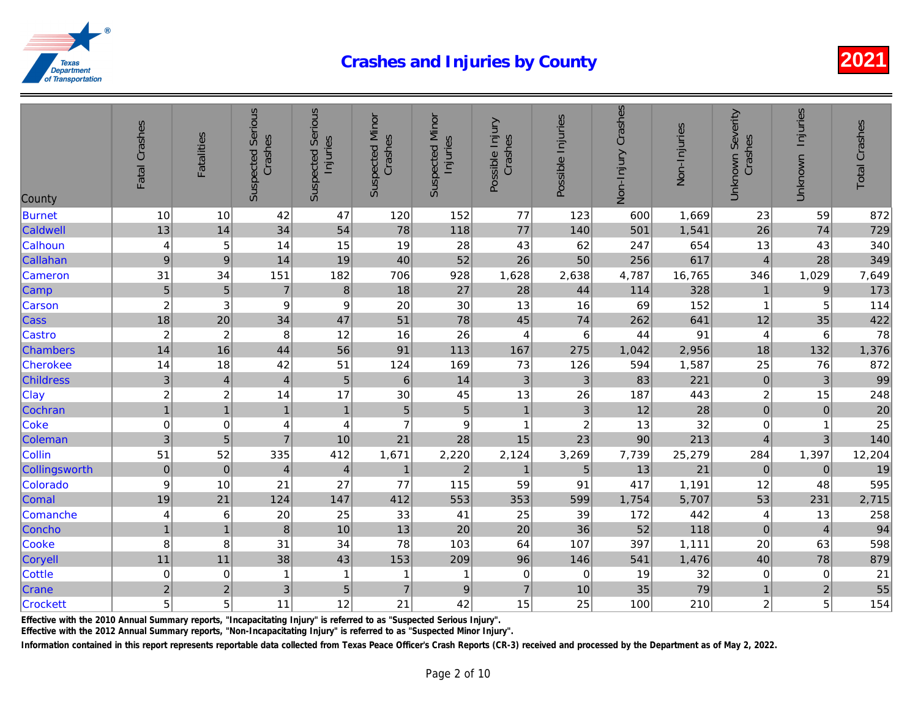| County           | Fatal Crashes           | <b>Fatalities</b>         | <b>Suspected Serious</b><br>Crashes | <b>Suspected Serious</b><br>Injuries | <b>Suspected Minor</b><br>Crashes | <b>Suspected Minor</b><br>Injuries | Possible Injury<br>Crashes | Possible Injuries | Non-Injury Crashes | Non-Injuries |
|------------------|-------------------------|---------------------------|-------------------------------------|--------------------------------------|-----------------------------------|------------------------------------|----------------------------|-------------------|--------------------|--------------|
| Burnet           | 10                      | 10                        | 42                                  | 47                                   | 120                               | 152                                | 77                         | 123               | 600                | 1,669        |
| Caldwell         | 13                      | 14                        | 34                                  | 54                                   | 78                                | 118                                | 77                         | 140               | 501                | 1,541        |
| Calhoun          | 4                       | 5                         | 14                                  | 15                                   | 19                                | 28                                 | 43                         | 62                | 247                | 654          |
| Callahan         | $\boldsymbol{9}$        | $\boldsymbol{9}$          | 14                                  | 19                                   | 40                                | 52                                 | 26                         | 50                | 256                | 617          |
| Cameron          | 31                      | 34                        | 151                                 | 182                                  | 706                               | 928                                | 1,628                      | 2,638             | 4,787              | 16,765       |
| Camp             | 5                       | $\sqrt{5}$                | $\overline{7}$                      | $\bf8$                               | 18                                | 27                                 | 28                         | 44                | 114                | 328          |
| Carson           | $\overline{c}$          | $\ensuremath{\mathsf{3}}$ | $\mathsf g$                         | $\boldsymbol{9}$                     | 20                                | 30                                 | 13                         | 16                | 69                 | 152          |
| <b>Cass</b>      | 18                      | 20                        | 34                                  | 47                                   | 51                                | 78                                 | 45                         | 74                | 262                | 641          |
| Castro           | $\overline{c}$          | $\overline{c}$            | 8                                   | 12                                   | 16                                | 26                                 | $\overline{4}$             | 6                 | 44                 | 91           |
| <b>Chambers</b>  | 14                      | 16                        | 44                                  | 56                                   | 91                                | 113                                | 167                        | 275               | 1,042              | 2,956        |
| <b>Cherokee</b>  | 14                      | 18                        | 42                                  | 51                                   | 124                               | 169                                | 73                         | 126               | 594                | 1,587        |
| <b>Childress</b> | $\overline{3}$          | $\overline{4}$            | $\overline{4}$                      | $\overline{5}$                       | $\,$ 6                            | 14                                 | 3                          | $\mathbf{3}$      | 83                 | 221          |
| Clay             | $\overline{\mathbf{c}}$ | $\overline{c}$            | 14                                  | 17                                   | 30                                | 45                                 | 13                         | 26                | 187                | 443          |
| Cochran          | $\overline{1}$          | 1                         | $\mathbf{1}$                        | $\mathbf{1}$                         | 5                                 | $\overline{5}$                     | $\mathbf{1}$               | 3                 | 12                 | 28           |
| Coke             | $\mathbf 0$             | $\pmb{0}$                 | $\overline{4}$                      | $\overline{\mathbf{4}}$              | $\overline{7}$                    | $\boldsymbol{9}$                   | $\mathbf{1}$               | $\boldsymbol{2}$  | 13                 | 32           |
| Coleman          | 3                       | $\overline{5}$            | $\overline{7}$                      | 10                                   | 21                                | 28                                 | 15                         | 23                | 90                 | 213          |
| Collin           | 51                      | 52                        | 335                                 | 412                                  | 1,671                             | 2,220                              | 2,124                      | 3,269             | 7,739              | 25,279       |
| Collingsworth    | $\pmb{0}$               | $\pmb{0}$                 | $\overline{4}$                      | $\overline{\mathbf{4}}$              | $\mathbf{1}$                      | $\overline{2}$                     | $\mathbf{1}$               | $\overline{5}$    | 13                 | 21           |
| Colorado         | $\boldsymbol{9}$        | 10                        | 21                                  | 27                                   | 77                                | 115                                | 59                         | 91                | 417                | 1,191        |
| Comal            | 19                      | 21                        | 124                                 | 147                                  | 412                               | 553                                | 353                        | 599               | 1,754              | 5,707        |
| Comanche         | 4                       | 6                         | 20                                  | 25                                   | 33                                | 41                                 | 25                         | 39                | 172                | 442          |
| Concho           | $\overline{1}$          | $\overline{1}$            | 8 <sup>1</sup>                      | 10                                   | 13                                | 20                                 | 20                         | 36                | 52                 | 118          |
| Cooke            | 8                       | 8                         | 31                                  | 34                                   | 78                                | 103                                | 64                         | 107               | 397                | 1,111        |
| Coryell          | 11                      | 11                        | 38                                  | 43                                   | 153                               | 209                                | 96                         | 146               | 541                | 1,476        |
| <b>Cottle</b>    | $\pmb{0}$               | 0                         | 1                                   | 1                                    | 1                                 | 1                                  | $\mathbf 0$                | 0                 | 19                 | 32           |
| Crane            | $\overline{c}$          | $\overline{c}$            | 3                                   | $\overline{5}$                       | $\overline{7}$                    | $\mathsf g$                        | $\overline{7}$             | 10                | 35                 | 79           |
| <b>Crockett</b>  | 5                       | 5                         | 11                                  | 12                                   | 21                                | 42                                 | 15                         | 25                | 100                | 210          |

Effective with the 2010 Annual Summary reports, "Incapacitating Injury" is referred to as "Suspected Serious Injury".

Effective with the 2012 Annual Summary reports, "Non-Incapacitating Injury" is referred to as "Suspected Minor Injury".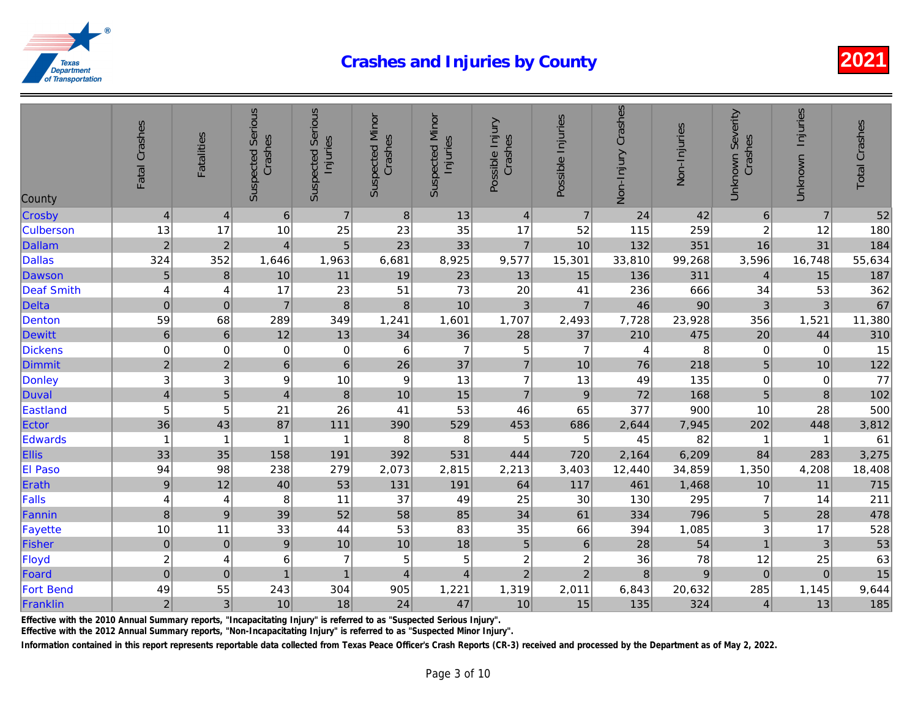| County            | Fatal Crashes           | Fatalities       | <b>Suspected Serious</b><br>Crashes | <b>Suspected Serious</b><br>Injuries | <b>Suspected Minor</b><br>Crashes | <b>Suspected Minor</b><br>Injuries | Possible Injury<br>Crashes | Possible Injuries | Non-Injury Crashes | Non-Injuries   |
|-------------------|-------------------------|------------------|-------------------------------------|--------------------------------------|-----------------------------------|------------------------------------|----------------------------|-------------------|--------------------|----------------|
| Crosby            | $\overline{\mathbf{4}}$ | $\overline{4}$   | $\,6$                               | $\overline{7}$                       | $\boldsymbol{8}$                  | 13                                 | $\overline{4}$             | $\overline{7}$    | 24                 | 42             |
| <b>Culberson</b>  | 13                      | 17               | 10                                  | 25                                   | 23                                | 35                                 | 17                         | 52                | 115                | 259            |
| <b>Dallam</b>     | $\overline{c}$          | $\sqrt{2}$       | $\overline{4}$                      | 5                                    | 23                                | 33                                 | $\overline{7}$             | 10                | 132                | 351            |
| <b>Dallas</b>     | 324                     | 352              | 1,646                               | 1,963                                | 6,681                             | 8,925                              | 9,577                      | 15,301            | 33,810             | 99,268         |
| Dawson            | 5                       | $\bf 8$          | 10                                  | 11                                   | 19                                | 23                                 | 13                         | 15                | 136                | 311            |
| <b>Deaf Smith</b> | 4                       | 4                | 17                                  | 23                                   | 51                                | 73                                 | 20                         | 41                | 236                | 666            |
| <b>Delta</b>      | $\mathbf 0$             | $\pmb{0}$        | $\overline{7}$                      | $\bf8$                               | $\bf 8$                           | 10                                 | 3                          | $\overline{7}$    | 46                 | 90             |
| Denton            | 59                      | 68               | 289                                 | 349                                  | 1,241                             | 1,601                              | 1,707                      | 2,493             | 7,728              | 23,928         |
| <b>Dewitt</b>     | $\,$ 6 $\,$             | $\,6\,$          | 12                                  | 13                                   | 34                                | 36                                 | 28                         | 37                | 210                | 475            |
| <b>Dickens</b>    | $\mathbf 0$             | $\mathbf 0$      | $\mathbf 0$                         | $\mathbf 0$                          | $\,6$                             | $\overline{7}$                     | 5                          | $\overline{7}$    | 4                  | 8              |
| <b>Dimmit</b>     | $\overline{c}$          | $\sqrt{2}$       | 6 <sup>1</sup>                      | $\,$ 6 $\,$                          | 26                                | 37                                 | $\overline{7}$             | 10                | 76                 | 218            |
| Donley            | 3                       | 3                | $\boldsymbol{9}$                    | 10                                   | $\boldsymbol{9}$                  | 13                                 | $\overline{7}$             | 13                | 49                 | 135            |
| Duval             | $\overline{\mathbf{4}}$ | $\sqrt{5}$       | $\overline{4}$                      | $\bf 8$                              | 10                                | 15                                 | $\overline{7}$             | $\boldsymbol{9}$  | 72                 | 168            |
| Eastland          | 5                       | 5                | 21                                  | 26                                   | 41                                | 53                                 | 46                         | 65                | 377                | 900            |
| Ector             | 36                      | 43               | 87                                  | 111                                  | 390                               | 529                                | 453                        | 686               | 2,644              | 7,945          |
| Edwards           | $\overline{1}$          | $\overline{1}$   |                                     | $\overline{1}$                       | 8                                 | 8                                  | 5                          | 5                 | 45                 | 82             |
| <b>Ellis</b>      | 33                      | 35               | 158                                 | 191                                  | 392                               | 531                                | 444                        | 720               | 2,164              | 6,209          |
| El Paso           | 94                      | 98               | 238                                 | 279                                  | 2,073                             | 2,815                              | 2,213                      | 3,403             | 12,440             | 34,859         |
| Erath             | 9                       | 12               | 40                                  | 53                                   | 131                               | 191                                | 64                         | 117               | 461                | 1,468          |
| Falls             | $\overline{\mathbf{4}}$ | $\overline{4}$   | 8                                   | 11                                   | 37                                | 49                                 | 25                         | 30                | 130                | 295            |
| Fannin            | 8                       | $\boldsymbol{9}$ | 39                                  | 52                                   | 58                                | 85                                 | 34                         | 61                | 334                | 796            |
| Fayette           | 10                      | 11               | 33                                  | 44                                   | 53                                | 83                                 | 35                         | 66                | 394                | 1,085          |
| Fisher            | $\mathbf 0$             | $\pmb{0}$        | $\boldsymbol{9}$                    | 10                                   | 10                                | 18                                 | 5                          | $\,6\,$           | 28                 | 54             |
| Floyd             | $\overline{\mathbf{c}}$ | $\overline{4}$   | 6                                   | $\overline{7}$                       | 5                                 | 5                                  | $\overline{c}$             | $\boldsymbol{2}$  | 36                 | 78             |
| Foard             | $\overline{0}$          | $\mathbf 0$      | $\overline{1}$                      | $\mathbf{1}$                         | $\overline{\mathbf{4}}$           | $\overline{4}$                     | $\overline{2}$             | $\overline{2}$    | $\bf 8$            | $\overline{9}$ |
| <b>Fort Bend</b>  | 49                      | 55               | 243                                 | 304                                  | 905                               | 1,221                              | 1,319                      | 2,011             | 6,843              | 20,632         |
| Franklin          | $\overline{c}$          | $\mathbf{3}$     | 10                                  | 18                                   | 24                                | 47                                 | 10                         | 15                | 135                | 324            |

Effective with the 2010 Annual Summary reports, "Incapacitating Injury" is referred to as "Suspected Serious Injury".

Effective with the 2012 Annual Summary reports, "Non-Incapacitating Injury" is referred to as "Suspected Minor Injury".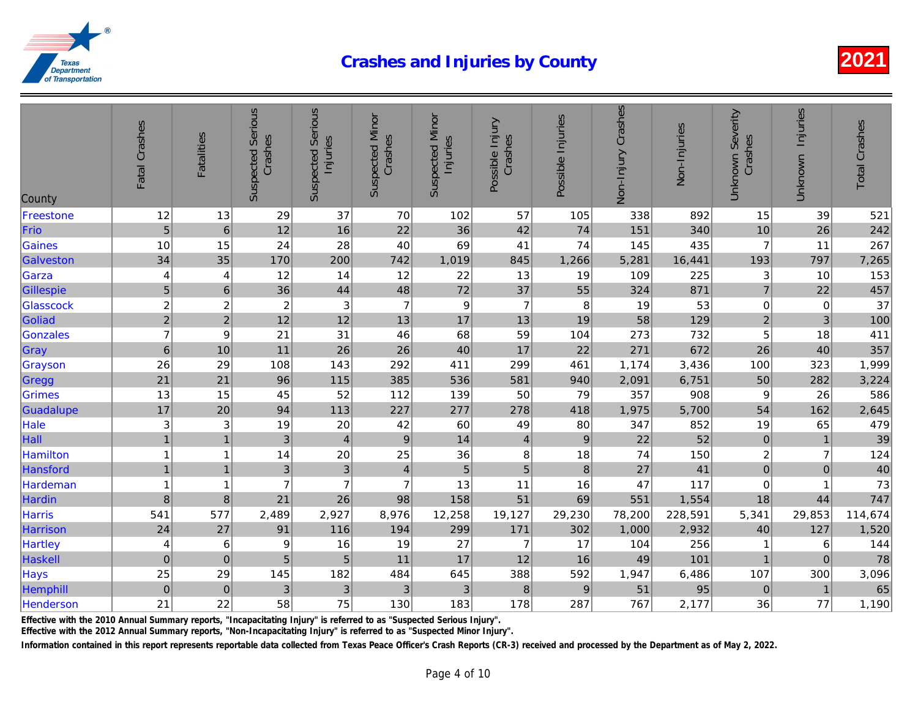| County          | Fatal Crashes           | <b>Fatalities</b>       | <b>Suspected Serious</b><br>Crashes | <b>Suspected Serious</b><br>Injuries | <b>Suspected Minor</b><br>Crashes | <b>Suspected Minor</b><br>Injuries | Possible Injury<br>Crashes | Possible Injuries | Non-Injury Crashes | Non-Injuries |
|-----------------|-------------------------|-------------------------|-------------------------------------|--------------------------------------|-----------------------------------|------------------------------------|----------------------------|-------------------|--------------------|--------------|
| Freestone       | 12                      | 13                      | 29                                  | 37                                   | 70                                | 102                                | 57                         | 105               | 338                | 892          |
| Frio            | 5                       | $\,6\,$                 | 12                                  | 16                                   | 22                                | 36                                 | 42                         | 74                | 151                | 340          |
| <b>Gaines</b>   | 10                      | 15                      | 24                                  | 28                                   | 40                                | 69                                 | 41                         | 74                | 145                | 435          |
| Galveston       | 34                      | 35                      | 170                                 | 200                                  | 742                               | 1,019                              | 845                        | 1,266             | 5,281              | 16,441       |
| Garza           | 4                       | $\overline{4}$          | 12                                  | 14                                   | 12                                | 22                                 | 13                         | 19                | 109                | 225          |
| Gillespie       | 5                       | $\,6\,$                 | 36                                  | 44                                   | 48                                | 72                                 | 37                         | 55                | 324                | 871          |
| Glasscock       | $\overline{\mathbf{c}}$ | $\overline{\mathbf{c}}$ | $\boldsymbol{2}$                    | $\ensuremath{\mathsf{3}}$            | $\overline{7}$                    | $\boldsymbol{9}$                   | $\overline{7}$             | 8                 | 19                 | 53           |
| Goliad          | $\overline{a}$          | $\overline{2}$          | 12                                  | 12                                   | 13                                | 17                                 | 13                         | 19                | 58                 | 129          |
| Gonzales        | $\overline{7}$          | 9                       | 21                                  | 31                                   | 46                                | 68                                 | 59                         | 104               | 273                | 732          |
| Gray            | $\,6$                   | 10                      | 11                                  | 26                                   | 26                                | 40                                 | 17                         | 22                | 271                | 672          |
| Grayson         | 26                      | 29                      | 108                                 | 143                                  | 292                               | 411                                | 299                        | 461               | 1,174              | 3,436        |
| Gregg           | 21                      | 21                      | 96                                  | 115                                  | 385                               | 536                                | 581                        | 940               | 2,091              | 6,751        |
| Grimes          | 13                      | 15                      | 45                                  | 52                                   | 112                               | 139                                | 50                         | 79                | 357                | 908          |
| Guadalupe       | 17                      | 20                      | 94                                  | 113                                  | 227                               | 277                                | 278                        | 418               | 1,975              | 5,700        |
| Hale            | 3                       | 3                       | 19                                  | 20                                   | 42                                | 60                                 | 49                         | 80                | 347                | 852          |
| Hall            | $\overline{1}$          | $\mathbf{1}$            | $\mathbf{3}$                        | $\overline{\mathbf{4}}$              | $9\,$                             | 14                                 | $\overline{4}$             | 9                 | 22                 | 52           |
| Hamilton        | 1                       | $\overline{1}$          | 14                                  | 20                                   | 25                                | 36                                 | 8                          | 18                | 74                 | 150          |
| Hansford        | $\mathbf{1}$            | $\overline{1}$          | $\mathbf{3}$                        | $\mathbf{3}$                         | $\overline{4}$                    | $\sqrt{5}$                         | 5                          | 8                 | 27                 | 41           |
| <b>Hardeman</b> | $\mathbf{1}$            | $\overline{1}$          | $\overline{7}$                      | $\overline{7}$                       | $\overline{7}$                    | 13                                 | 11                         | 16                | 47                 | 117          |
| Hardin          | 8                       | $\bf 8$                 | 21                                  | 26                                   | 98                                | 158                                | 51                         | 69                | 551                | 1,554        |
| <b>Harris</b>   | 541                     | 577                     | 2,489                               | 2,927                                | 8,976                             | 12,258                             | 19,127                     | 29,230            | 78,200             | 228,591      |
| Harrison        | 24                      | 27                      | 91                                  | 116                                  | 194                               | 299                                | 171                        | 302               | 1,000              | 2,932        |
| Hartley         | 4                       | 6                       | 9                                   | 16                                   | 19                                | 27                                 | $\overline{7}$             | 17                | 104                | 256          |
| Haskell         | $\mathbf 0$             | $\mathbf 0$             | 5                                   | 5                                    | 11                                | 17                                 | 12                         | 16                | 49                 | 101          |
| Hays            | 25                      | 29                      | 145                                 | 182                                  | 484                               | 645                                | 388                        | 592               | 1,947              | 6,486        |
| Hemphill        | $\pmb{0}$               | $\mathbf 0$             | 3                                   | 3                                    | 3                                 | 3                                  | $\boldsymbol{8}$           | $9\,$             | 51                 | 95           |
| Henderson       | 21                      | 22                      | 58                                  | 75                                   | 130                               | 183                                | 178                        | 287               | 767                | 2,177        |

Effective with the 2010 Annual Summary reports, "Incapacitating Injury" is referred to as "Suspected Serious Injury".

Effective with the 2012 Annual Summary reports, "Non-Incapacitating Injury" is referred to as "Suspected Minor Injury".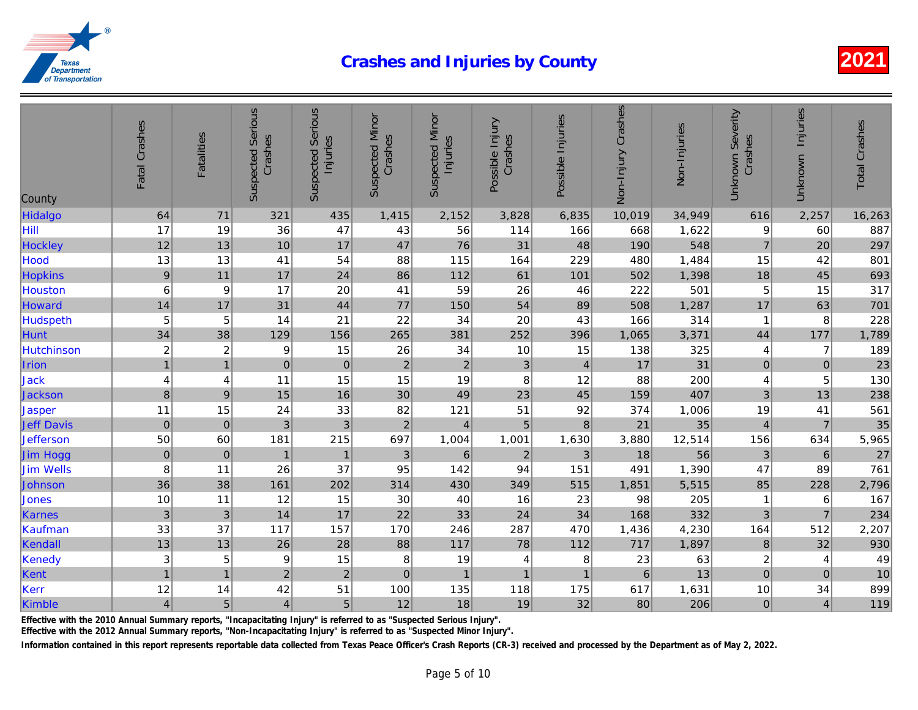| County            | Fatal Crashes             | <b>Fatalities</b> | <b>Suspected Serious</b><br>Crashes | <b>Suspected Serious</b><br>Injuries | <b>Suspected Minor</b><br>Crashes | <b>Suspected Minor</b><br>Injuries | Possible Injury<br>Crashes | Possible Injuries | Non-Injury Crashes | Non-Injuries |
|-------------------|---------------------------|-------------------|-------------------------------------|--------------------------------------|-----------------------------------|------------------------------------|----------------------------|-------------------|--------------------|--------------|
| Hidalgo           | 64                        | 71                | 321                                 | 435                                  | 1,415                             | 2,152                              | 3,828                      | 6,835             | 10,019             | 34,949       |
| Hill              | 17                        | 19                | 36                                  | 47                                   | 43                                | 56                                 | 114                        | 166               | 668                | 1,622        |
| <b>Hockley</b>    | 12                        | 13                | 10                                  | 17                                   | 47                                | 76                                 | 31                         | 48                | 190                | 548          |
| Hood              | 13                        | 13                | 41                                  | 54                                   | 88                                | 115                                | 164                        | 229               | 480                | 1,484        |
| <b>Hopkins</b>    | $\boldsymbol{9}$          | 11                | 17                                  | 24                                   | 86                                | 112                                | 61                         | 101               | 502                | 1,398        |
| Houston           | 6                         | 9                 | 17                                  | 20                                   | 41                                | 59                                 | 26                         | 46                | 222                | 501          |
| Howard            | 14                        | 17                | 31                                  | 44                                   | 77                                | 150                                | 54                         | 89                | 508                | 1,287        |
| <b>Hudspeth</b>   | 5                         | 5                 | 14                                  | 21                                   | 22                                | 34                                 | 20                         | 43                | 166                | 314          |
| <b>Hunt</b>       | 34                        | 38                | 129                                 | 156                                  | 265                               | 381                                | 252                        | 396               | 1,065              | 3,371        |
| Hutchinson        | $\overline{\mathbf{c}}$   | $\overline{c}$    | 9                                   | 15                                   | 26                                | 34                                 | 10                         | 15                | 138                | 325          |
| Irion             | $\overline{1}$            | $\overline{1}$    | $\mathbf 0$                         | $\mathbf 0$                          | $\overline{2}$                    | $\overline{2}$                     | $\mathfrak{3}$             | $\overline{4}$    | 17                 | 31           |
| <b>Jack</b>       | 4                         | 4                 | 11                                  | 15                                   | 15                                | 19                                 | 8                          | 12                | 88                 | 200          |
| Jackson           | $\bf 8$                   | $9$               | 15                                  | 16                                   | 30                                | 49                                 | 23                         | 45                | 159                | 407          |
| Jasper            | 11                        | 15                | 24                                  | 33                                   | 82                                | 121                                | 51                         | 92                | 374                | 1,006        |
| <b>Jeff Davis</b> | $\pmb{0}$                 | $\pmb{0}$         | 3                                   | 3                                    | $\mathbf 2$                       | $\overline{4}$                     | 5                          | $\,8\,$           | 21                 | 35           |
| <b>Jefferson</b>  | 50                        | 60                | 181                                 | 215                                  | 697                               | 1,004                              | 1,001                      | 1,630             | 3,880              | 12,514       |
| Jim Hogg          | $\pmb{0}$                 | $\pmb{0}$         | $\mathbf{1}$                        | $\mathbf{1}$                         | $\mathbf{3}$                      | 6                                  | $\overline{2}$             | 3                 | 18                 | 56           |
| <b>Jim Wells</b>  | 8                         | 11                | 26                                  | 37                                   | 95                                | 142                                | 94                         | 151               | 491                | 1,390        |
| Johnson           | 36                        | 38                | 161                                 | 202                                  | 314                               | 430                                | 349                        | 515               | 1,851              | 5,515        |
| Jones             | 10                        | 11                | 12                                  | 15                                   | 30                                | 40                                 | 16                         | 23                | 98                 | 205          |
| Karnes            | $\ensuremath{\mathsf{3}}$ | $\mathbf{3}$      | 14                                  | 17                                   | 22                                | 33                                 | 24                         | 34                | 168                | 332          |
| Kaufman           | 33                        | 37                | 117                                 | 157                                  | 170                               | 246                                | 287                        | 470               | 1,436              | 4,230        |
| Kendall           | 13                        | 13                | 26                                  | 28                                   | 88                                | 117                                | 78                         | 112               | 717                | 1,897        |
| Kenedy            | 3                         | 5                 | 9                                   | 15                                   | 8                                 | 19                                 | 4                          | 8                 | 23                 | 63           |
| Kent              | $\overline{1}$            | 1                 | $\overline{2}$                      | $\overline{2}$                       | $\pmb{0}$                         | $\mathbf{1}$                       | $\mathbf{1}$               | $\overline{1}$    | $6\overline{6}$    | 13           |
| Kerr              | 12                        | 14                | 42                                  | 51                                   | 100                               | 135                                | 118                        | 175               | 617                | 1,631        |
| Kimble            | $\overline{\mathbf{4}}$   | 5                 | $\overline{4}$                      | 5                                    | 12                                | 18                                 | 19                         | 32                | 80                 | 206          |

Effective with the 2010 Annual Summary reports, "Incapacitating Injury" is referred to as "Suspected Serious Injury".

Effective with the 2012 Annual Summary reports, "Non-Incapacitating Injury" is referred to as "Suspected Minor Injury".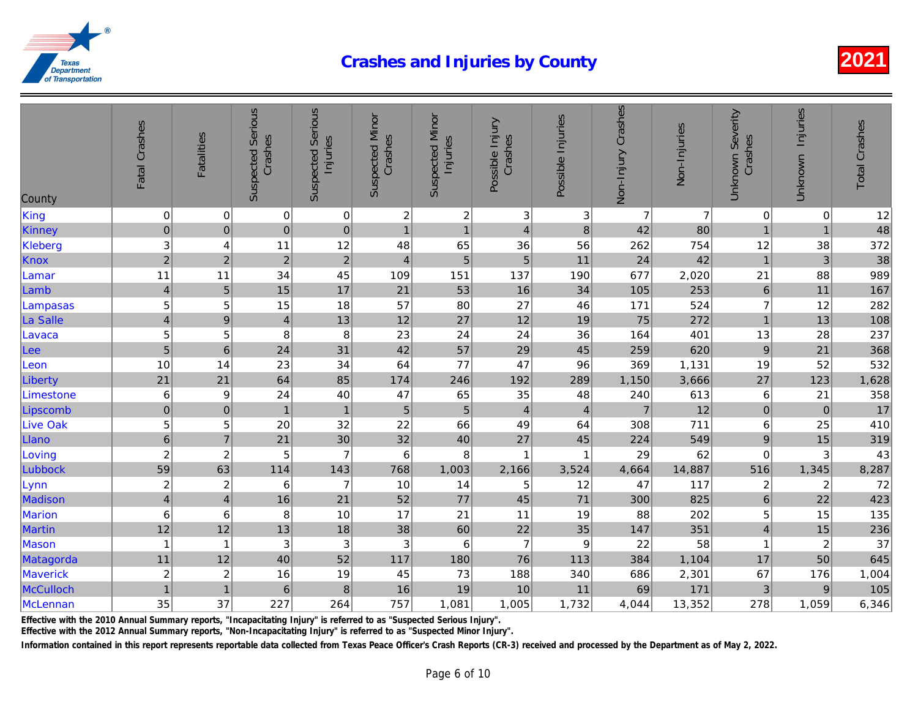| County          | Fatal Crashes           | <b>Fatalities</b> | <b>Suspected Serious</b><br>Crashes | <b>Suspected Serious</b><br>Injuries | <b>Suspected Minor</b><br>Crashes | <b>Suspected Minor</b><br>Injuries | Possible Injury<br>Crashes | Possible Injuries | Non-Injury Crashes | Non-Injuries   |
|-----------------|-------------------------|-------------------|-------------------------------------|--------------------------------------|-----------------------------------|------------------------------------|----------------------------|-------------------|--------------------|----------------|
| King            | 0                       | $\pmb{0}$         | $\mathbf 0$                         | 0                                    | $\boldsymbol{2}$                  | $\overline{c}$                     | $\ensuremath{\mathsf{3}}$  | 3                 | $\overline{7}$     | $\overline{7}$ |
| Kinney          | $\overline{0}$          | $\pmb{0}$         | $\pmb{0}$                           | $\mathbf 0$                          | $\overline{1}$                    | $\overline{1}$                     | $\overline{4}$             | $\bf8$            | 42                 | 80             |
| Kleberg         | 3                       | 4                 | 11                                  | 12                                   | 48                                | 65                                 | 36                         | 56                | 262                | 754            |
| <b>Knox</b>     | $\overline{2}$          | $\overline{c}$    | $\mathbf 2$                         | $\overline{c}$                       | $\overline{4}$                    | 5 <sup>1</sup>                     | 5                          | 11                | 24                 | 42             |
| Lamar           | 11                      | 11                | 34                                  | 45                                   | 109                               | 151                                | 137                        | 190               | 677                | 2,020          |
| Lamb            | $\overline{\mathbf{4}}$ | $\overline{5}$    | 15                                  | 17                                   | 21                                | 53                                 | 16                         | 34                | 105                | 253            |
| Lampasas        | 5                       | $\mathbf 5$       | 15                                  | 18                                   | 57                                | 80                                 | 27                         | 46                | 171                | 524            |
| La Salle        | $\overline{\mathbf{4}}$ | $\boldsymbol{9}$  | $\overline{4}$                      | 13                                   | 12                                | 27                                 | 12                         | 19                | 75                 | 272            |
| Lavaca          | 5                       | 5                 | 8                                   | 8                                    | 23                                | 24                                 | 24                         | 36                | 164                | 401            |
| Lee             | $\overline{5}$          | $\,6\,$           | 24                                  | 31                                   | 42                                | 57                                 | 29                         | 45                | 259                | 620            |
| Leon            | 10                      | 14                | 23                                  | 34                                   | 64                                | 77                                 | 47                         | 96                | 369                | 1,131          |
| Liberty         | 21                      | 21                | 64                                  | 85                                   | 174                               | 246                                | 192                        | 289               | 1,150              | 3,666          |
| Limestone       | $\,6\,$                 | $\boldsymbol{9}$  | 24                                  | 40                                   | 47                                | 65                                 | 35                         | 48                | 240                | 613            |
| Lipscomb        | $\overline{0}$          | $\pmb{0}$         | $\mathbf{1}$                        | $\mathbf{1}$                         | 5                                 | $\sqrt{5}$                         | $\overline{4}$             | $\overline{4}$    | $\overline{7}$     | 12             |
| <b>Live Oak</b> | 5                       | 5                 | 20                                  | 32                                   | 22                                | 66                                 | 49                         | 64                | 308                | 711            |
| Llano           | 6                       | $\overline{7}$    | 21                                  | 30                                   | 32                                | 40                                 | 27                         | 45                | 224                | 549            |
| Loving          | $\overline{\mathbf{c}}$ | $\overline{c}$    | 5                                   | $\overline{7}$                       | 6                                 | 8                                  | 1                          | 1                 | 29                 | 62             |
| Lubbock         | 59                      | 63                | 114                                 | 143                                  | 768                               | 1,003                              | 2,166                      | 3,524             | 4,664              | 14,887         |
| Lynn            | $\sqrt{2}$              | $\overline{2}$    | 6                                   | $\overline{7}$                       | 10                                | 14                                 | 5                          | 12                | 47                 | 117            |
| Madison         | $\overline{\mathbf{4}}$ | $\overline{4}$    | 16                                  | 21                                   | 52                                | 77                                 | 45                         | $71$              | 300                | 825            |
| Marion          | 6                       | 6                 | 8                                   | 10                                   | 17                                | 21                                 | 11                         | 19                | 88                 | 202            |
| <b>Martin</b>   | 12                      | 12                | 13                                  | 18                                   | 38                                | 60                                 | 22                         | 35                | 147                | 351            |
| Mason           | $\mathbf{1}$            | $\mathbf 1$       | 3                                   | $\ensuremath{\mathsf{3}}$            | 3                                 | 6                                  | $\overline{7}$             | 9                 | 22                 | 58             |
| Matagorda       | 11                      | 12                | 40                                  | 52                                   | 117                               | 180                                | 76                         | 113               | 384                | 1,104          |
| <b>Maverick</b> | $\overline{\mathbf{c}}$ | $\overline{2}$    | 16                                  | 19                                   | 45                                | 73                                 | 188                        | 340               | 686                | 2,301          |
| McCulloch       | $\overline{1}$          | $\overline{1}$    | $\,$ 6 $\,$                         | 8                                    | 16                                | 19                                 | 10                         | 11                | 69                 | 171            |
| McLennan        | 35                      | 37                | 227                                 | 264                                  | 757                               | 1,081                              | 1,005                      | 1,732             | 4,044              | 13,352         |

Effective with the 2010 Annual Summary reports, "Incapacitating Injury" is referred to as "Suspected Serious Injury".

Effective with the 2012 Annual Summary reports, "Non-Incapacitating Injury" is referred to as "Suspected Minor Injury".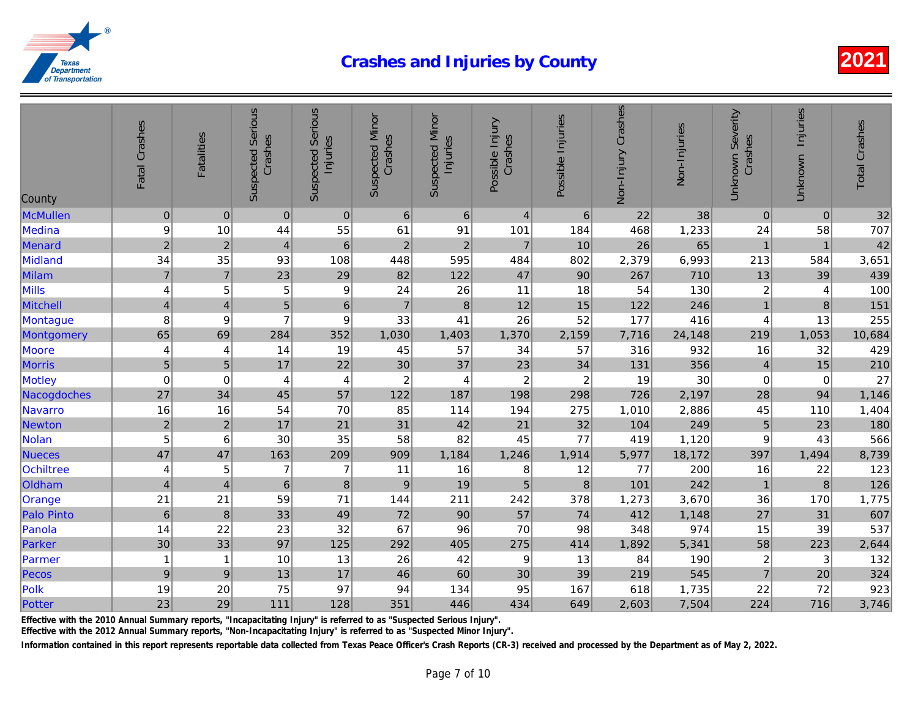| County            | Fatal Crashes           | <b>Fatalities</b>       | <b>Suspected Serious</b><br>Crashes | <b>Suspected Serious</b><br>Injuries | <b>Suspected Minor</b><br>Crashes | <b>Suspected Minor</b><br>Injuries | Possible Injury<br>Crashes | Possible Injuries | Non-Injury Crashes | Non-Injuries |
|-------------------|-------------------------|-------------------------|-------------------------------------|--------------------------------------|-----------------------------------|------------------------------------|----------------------------|-------------------|--------------------|--------------|
| <b>McMullen</b>   | $\pmb{0}$               | $\mathbf 0$             | $\pmb{0}$                           | $\mathbf 0$                          | $6\phantom{1}6$                   | $6\phantom{1}$                     | $\overline{4}$             | 6                 | 22                 | 38           |
| Medina            | 9                       | 10                      | 44                                  | 55                                   | 61                                | 91                                 | 101                        | 184               | 468                | 1,233        |
| Menard            | $\overline{2}$          | $\overline{2}$          | $\overline{4}$                      | $6\phantom{1}$                       | $\overline{2}$                    | $\overline{2}$                     | $\overline{7}$             | 10                | 26                 | 65           |
| Midland           | 34                      | 35                      | 93                                  | 108                                  | 448                               | 595                                | 484                        | 802               | 2,379              | 6,993        |
| Milam             | $\overline{\mathbf{7}}$ | $\overline{7}$          | 23                                  | 29                                   | 82                                | 122                                | 47                         | 90                | 267                | 710          |
| Mills             | 4                       | 5                       | 5                                   | 9                                    | 24                                | 26                                 | 11                         | 18                | 54                 | 130          |
| Mitchell          | $\overline{\mathbf{4}}$ | $\overline{\mathbf{4}}$ | $\overline{5}$                      | $\mathbf 6$                          | $\overline{7}$                    | $\bf 8$                            | 12                         | 15                | 122                | 246          |
| Montague          | 8                       | 9                       | $\overline{7}$                      | $\boldsymbol{9}$                     | 33                                | 41                                 | 26                         | 52                | 177                | 416          |
| Montgomery        | 65                      | 69                      | 284                                 | 352                                  | 1,030                             | 1,403                              | 1,370                      | 2,159             | 7,716              | 24,148       |
| Moore             | 4                       | 4                       | 14                                  | 19                                   | 45                                | 57                                 | 34                         | 57                | 316                | 932          |
| <b>Morris</b>     | 5                       | 5                       | 17                                  | 22                                   | 30                                | 37                                 | 23                         | 34                | 131                | 356          |
| Motley            | $\mathbf 0$             | $\mathbf 0$             | 4                                   | 4                                    | $\boldsymbol{2}$                  | $\overline{4}$                     | $\overline{c}$             | $\boldsymbol{2}$  | 19                 | 30           |
| Nacogdoches       | 27                      | 34                      | 45                                  | 57                                   | 122                               | 187                                | 198                        | 298               | 726                | 2,197        |
| Navarro           | 16                      | 16                      | 54                                  | 70                                   | 85                                | 114                                | 194                        | 275               | 1,010              | 2,886        |
| Newton            | $\mathbf 2$             | $\sqrt{2}$              | 17                                  | 21                                   | 31                                | 42                                 | 21                         | 32                | 104                | 249          |
| Nolan             | 5                       | 6                       | 30                                  | 35                                   | 58                                | 82                                 | 45                         | 77                | 419                | 1,120        |
| <b>Nueces</b>     | 47                      | 47                      | 163                                 | 209                                  | 909                               | 1,184                              | 1,246                      | 1,914             | 5,977              | 18,172       |
| <b>Ochiltree</b>  | $\overline{\mathbf{4}}$ | 5                       | $\overline{7}$                      | $\overline{7}$                       | 11                                | 16                                 | 8                          | 12                | 77                 | 200          |
| Oldham            | $\overline{\mathbf{4}}$ | $\overline{\mathbf{4}}$ | $\,6$                               | $\bf8$                               | $9\,$                             | 19                                 | 5                          | $\bf 8$           | 101                | 242          |
| Orange            | 21                      | 21                      | 59                                  | 71                                   | 144                               | 211                                | 242                        | 378               | 1,273              | 3,670        |
| <b>Palo Pinto</b> | $\,$ 6 $\,$             | $\bf 8$                 | 33                                  | 49                                   | 72                                | 90                                 | 57                         | 74                | 412                | 1,148        |
| Panola            | 14                      | 22                      | 23                                  | 32                                   | 67                                | 96                                 | 70                         | 98                | 348                | 974          |
| Parker            | 30                      | 33                      | 97                                  | 125                                  | 292                               | 405                                | 275                        | 414               | 1,892              | 5,341        |
| Parmer            | $\mathbf{1}$            | $\overline{1}$          | 10                                  | 13                                   | 26                                | 42                                 | 9                          | 13                | 84                 | 190          |
| Pecos             | 9                       | $9$                     | 13                                  | 17                                   | 46                                | 60                                 | 30                         | 39                | 219                | 545          |
| Polk              | 19                      | 20                      | 75                                  | 97                                   | 94                                | 134                                | 95                         | 167               | 618                | 1,735        |
| Potter            | 23                      | 29                      | 111                                 | 128                                  | 351                               | 446                                | 434                        | 649               | 2,603              | 7,504        |

Effective with the 2010 Annual Summary reports, "Incapacitating Injury" is referred to as "Suspected Serious Injury".

Effective with the 2012 Annual Summary reports, "Non-Incapacitating Injury" is referred to as "Suspected Minor Injury".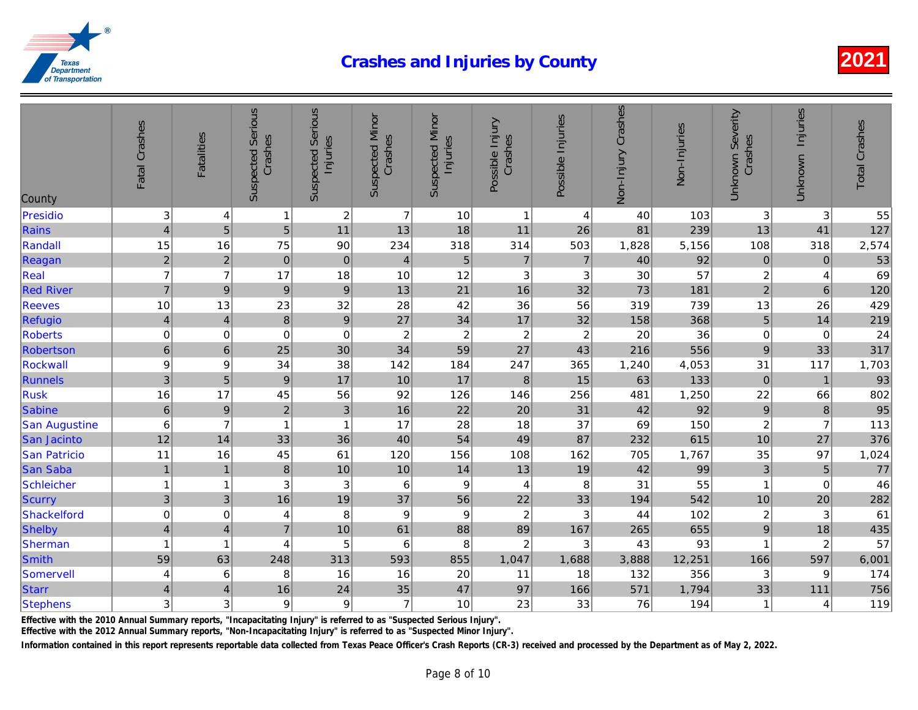| County               | Fatal Crashes            | <b>Fatalities</b>       | <b>Suspected Serious</b><br>Crashes | <b>Suspected Serious</b><br>Injuries | <b>Suspected Minor</b><br>Crashes | <b>Suspected Minor</b><br>Injuries | Possible Injury<br>Crashes | Possible Injuries         | Non-Injury Crashes | Non-Injuries |
|----------------------|--------------------------|-------------------------|-------------------------------------|--------------------------------------|-----------------------------------|------------------------------------|----------------------------|---------------------------|--------------------|--------------|
| Presidio             | 3                        | 4                       | $\mathbf{1}$                        | $\boldsymbol{2}$                     | $\overline{7}$                    | 10                                 | $\mathbf{1}$               | 4                         | 40                 | 103          |
| Rains                | $\overline{\mathbf{4}}$  | $\overline{5}$          | 5 <sup>1</sup>                      | 11                                   | 13                                | 18                                 | 11                         | 26                        | 81                 | 239          |
| Randall              | 15                       | 16                      | 75                                  | 90                                   | 234                               | 318                                | 314                        | 503                       | 1,828              | 5,156        |
| Reagan               | $\overline{c}$           | $\sqrt{2}$              | $\mathbf 0$                         | $\pmb{0}$                            | $\overline{4}$                    | $\sqrt{5}$                         | $\overline{7}$             | $\overline{7}$            | 40                 | 92           |
| Real                 | $\overline{7}$           | $\overline{7}$          | 17                                  | 18                                   | 10                                | 12                                 | 3                          | 3                         | 30                 | 57           |
| <b>Red River</b>     | $\overline{7}$           | $\boldsymbol{9}$        | $\vert 9 \vert$                     | $\mathsf g$                          | 13                                | 21                                 | 16                         | 32                        | 73                 | 181          |
| <b>Reeves</b>        | 10                       | 13                      | 23                                  | 32                                   | 28                                | 42                                 | 36                         | 56                        | 319                | 739          |
| Refugio              | $\overline{\mathcal{L}}$ | $\overline{4}$          | $\bf 8$                             | $\overline{9}$                       | 27                                | 34                                 | 17                         | 32                        | 158                | 368          |
| <b>Roberts</b>       | 0                        | $\mathbf 0$             | $\mathbf 0$                         | $\mathbf 0$                          | $\boldsymbol{2}$                  | $\sqrt{2}$                         | $\overline{c}$             | $\boldsymbol{2}$          | 20                 | 36           |
| Robertson            | 6                        | $\,6\,$                 | 25                                  | 30                                   | 34                                | 59                                 | 27                         | 43                        | 216                | 556          |
| Rockwall             | 9                        | 9                       | 34                                  | 38                                   | 142                               | 184                                | 247                        | 365                       | 1,240              | 4,053        |
| Runnels              | $\overline{3}$           | $\overline{5}$          | $\boldsymbol{9}$                    | 17                                   | 10                                | 17                                 | $\boldsymbol{8}$           | 15                        | 63                 | 133          |
| Rusk                 | 16                       | 17                      | 45                                  | 56                                   | 92                                | 126                                | 146                        | 256                       | 481                | 1,250        |
| Sabine               | 6                        | $\boldsymbol{9}$        | $\overline{2}$                      | 3                                    | 16                                | 22                                 | 20                         | 31                        | 42                 | 92           |
| <b>San Augustine</b> | 6                        | $\overline{7}$          | 1                                   | $\mathbf{1}$                         | 17                                | 28                                 | 18                         | 37                        | 69                 | 150          |
| San Jacinto          | 12                       | 14                      | 33                                  | 36                                   | 40                                | 54                                 | 49                         | 87                        | 232                | 615          |
| <b>San Patricio</b>  | 11                       | 16                      | 45                                  | 61                                   | 120                               | 156                                | 108                        | 162                       | 705                | 1,767        |
| San Saba             | $\mathbf{1}$             | $\overline{1}$          | $\bf 8$                             | 10                                   | 10                                | 14                                 | 13                         | 19                        | 42                 | 99           |
| <b>Schleicher</b>    | $\mathbf{1}$             | -1                      | 3                                   | $\ensuremath{\mathsf{3}}$            | 6                                 | $\boldsymbol{9}$                   | 4                          | 8                         | 31                 | 55           |
| Scurry               | 3                        | 3                       | 16                                  | 19                                   | 37                                | 56                                 | 22                         | 33                        | 194                | 542          |
| Shackelford          | $\mathbf 0$              | 0                       | 4                                   | 8                                    | $\boldsymbol{9}$                  | $\boldsymbol{9}$                   | $\overline{c}$             | $\ensuremath{\mathsf{3}}$ | 44                 | 102          |
| Shelby               | $\overline{\mathbf{4}}$  | $\overline{\mathbf{4}}$ | $\overline{7}$                      | 10                                   | 61                                | 88                                 | 89                         | 167                       | 265                | 655          |
| Sherman              | $\mathbf{1}$             | $\overline{1}$          | 4                                   | 5                                    | $\,6$                             | 8                                  | $\overline{c}$             | 3                         | 43                 | 93           |
| <b>Smith</b>         | 59                       | 63                      | 248                                 | 313                                  | 593                               | 855                                | 1,047                      | 1,688                     | 3,888              | 12,251       |
| Somervell            | 4                        | 6                       | 8                                   | 16                                   | 16                                | 20                                 | 11                         | 18                        | 132                | 356          |
| <b>Starr</b>         | $\overline{\mathbf{4}}$  | $\overline{4}$          | 16                                  | 24                                   | 35                                | 47                                 | 97                         | 166                       | 571                | 1,794        |
| <b>Stephens</b>      | 3                        | 3                       | 9                                   | $\boldsymbol{9}$                     | $\overline{7}$                    | 10                                 | 23                         | 33                        | 76                 | 194          |

Effective with the 2010 Annual Summary reports, "Incapacitating Injury" is referred to as "Suspected Serious Injury".

Effective with the 2012 Annual Summary reports, "Non-Incapacitating Injury" is referred to as "Suspected Minor Injury".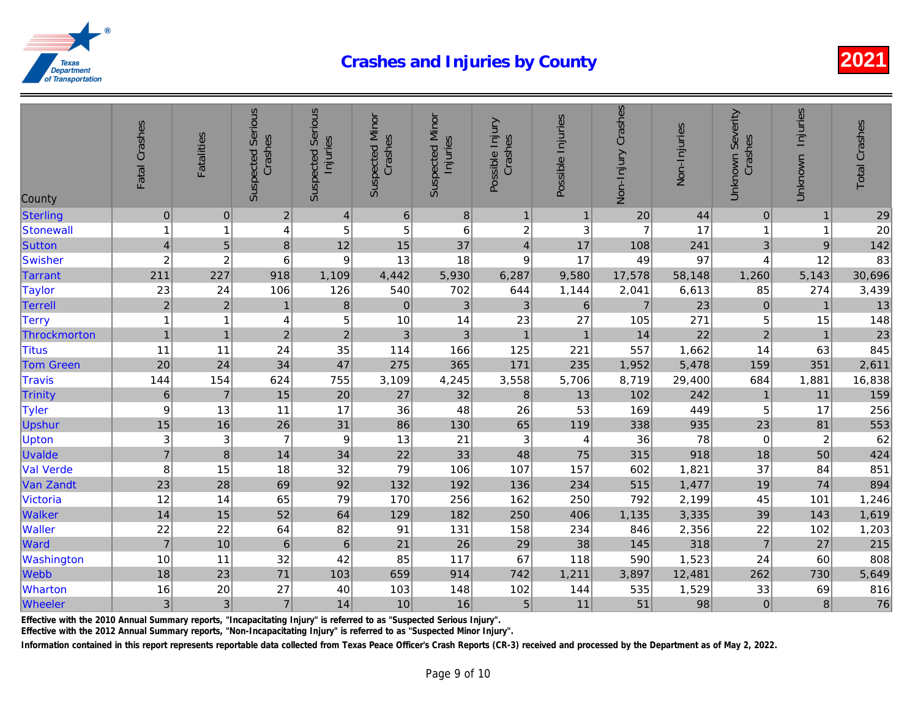| County           | Fatal Crashes    | <b>Fatalities</b>       | <b>Suspected Serious</b><br>Crashes | <b>Suspected Serious</b><br>Injuries | <b>Suspected Minor</b><br>Crashes | <b>Suspected Minor</b><br>Injuries | Possible Injury<br>Crashes | Possible Injuries | Non-Injury Crashes | Non-Injuries |
|------------------|------------------|-------------------------|-------------------------------------|--------------------------------------|-----------------------------------|------------------------------------|----------------------------|-------------------|--------------------|--------------|
| Sterling         | $\mathbf 0$      | $\mathbf 0$             | $\overline{2}$                      | $\overline{4}$                       | $\,6\,$                           | 8                                  | $\mathbf{1}$               | $\mathbf 1$       | 20                 | 44           |
| Stonewall        | $\mathbf{1}$     | $\overline{\mathbf{1}}$ | 4                                   | $\mathbf 5$                          | $\,$ 5 $\,$                       | $\,6$                              | $\boldsymbol{2}$           | $\mathbf{3}$      | 7                  | 17           |
| Sutton           | $\overline{4}$   | 5                       | $\bf 8$                             | 12                                   | 15                                | 37                                 | $\overline{\mathbf{4}}$    | 17                | 108                | 241          |
| Swisher          | $\boldsymbol{2}$ | $\overline{2}$          | $6\phantom{1}6$                     | $\boldsymbol{9}$                     | 13                                | 18                                 | 9                          | 17                | 49                 | 97           |
| <b>Tarrant</b>   | 211              | 227                     | 918                                 | 1,109                                | 4,442                             | 5,930                              | 6,287                      | 9,580             | 17,578             | 58,148       |
| <b>Taylor</b>    | 23               | 24                      | 106                                 | 126                                  | 540                               | 702                                | 644                        | 1,144             | 2,041              | 6,613        |
| Terrell          | $\overline{2}$   | $\overline{2}$          | $\mathbf{1}$                        | 8                                    | $\pmb{0}$                         | $\mathfrak{3}$                     | 3                          | $\,6\,$           | $\overline{7}$     | 23           |
| <b>Terry</b>     | $\mathbf{1}$     | 1                       | 4                                   | $\mathbf 5$                          | 10                                | 14                                 | 23                         | 27                | 105                | 271          |
| Throckmorton     | $\overline{1}$   | $\overline{1}$          | $\overline{2}$                      | $\overline{2}$                       | 3                                 | $\mathfrak{3}$                     | $\mathbf{1}$               | $\overline{1}$    | 14                 | 22           |
| <b>Titus</b>     | 11               | 11                      | 24                                  | 35                                   | 114                               | 166                                | 125                        | 221               | 557                | 1,662        |
| <b>Tom Green</b> | 20               | 24                      | 34                                  | 47                                   | 275                               | 365                                | 171                        | 235               | 1,952              | 5,478        |
| <b>Travis</b>    | 144              | 154                     | 624                                 | 755                                  | 3,109                             | 4,245                              | 3,558                      | 5,706             | 8,719              | 29,400       |
| Trinity          | $\,$ 6 $\,$      | $\overline{7}$          | 15                                  | 20                                   | 27                                | 32                                 | $\bf8$                     | 13                | 102                | 242          |
| <b>Tyler</b>     | 9                | 13                      | 11                                  | 17                                   | 36                                | 48                                 | 26                         | 53                | 169                | 449          |
| Upshur           | 15               | 16                      | 26                                  | 31                                   | 86                                | 130                                | 65                         | 119               | 338                | 935          |
| <b>Upton</b>     | 3                | 3                       | 7                                   | 9                                    | 13                                | 21                                 | 3                          | 4                 | 36                 | 78           |
| Uvalde           | $\overline{7}$   | $\boldsymbol{8}$        | 14                                  | 34                                   | 22                                | 33                                 | 48                         | 75                | 315                | 918          |
| <b>Val Verde</b> | 8                | 15                      | 18                                  | 32                                   | 79                                | 106                                | 107                        | 157               | 602                | 1,821        |
| Van Zandt        | 23               | 28                      | 69                                  | 92                                   | 132                               | 192                                | 136                        | 234               | 515                | 1,477        |
| Victoria         | 12               | 14                      | 65                                  | 79                                   | 170                               | 256                                | 162                        | 250               | 792                | 2,199        |
| Walker           | 14               | 15                      | 52                                  | 64                                   | 129                               | 182                                | 250                        | 406               | 1,135              | 3,335        |
| Waller           | 22               | 22                      | 64                                  | 82                                   | 91                                | 131                                | 158                        | 234               | 846                | 2,356        |
| Ward             | $\overline{7}$   | 10                      | $\,6\,$                             | $\,$ 6 $\,$                          | 21                                | 26                                 | 29                         | 38                | 145                | 318          |
| Washington       | 10               | 11                      | 32                                  | 42                                   | 85                                | 117                                | 67                         | 118               | 590                | 1,523        |
| Webb             | 18               | 23                      | $71$                                | 103                                  | 659                               | 914                                | 742                        | 1,211             | 3,897              | 12,481       |
| Wharton          | 16               | 20                      | 27                                  | 40                                   | 103                               | 148                                | 102                        | 144               | 535                | 1,529        |
| Wheeler          | 3                | 3                       | $\overline{7}$                      | 14                                   | 10                                | 16                                 | 5                          | 11                | 51                 | 98           |

Effective with the 2010 Annual Summary reports, "Incapacitating Injury" is referred to as "Suspected Serious Injury".

Effective with the 2012 Annual Summary reports, "Non-Incapacitating Injury" is referred to as "Suspected Minor Injury".